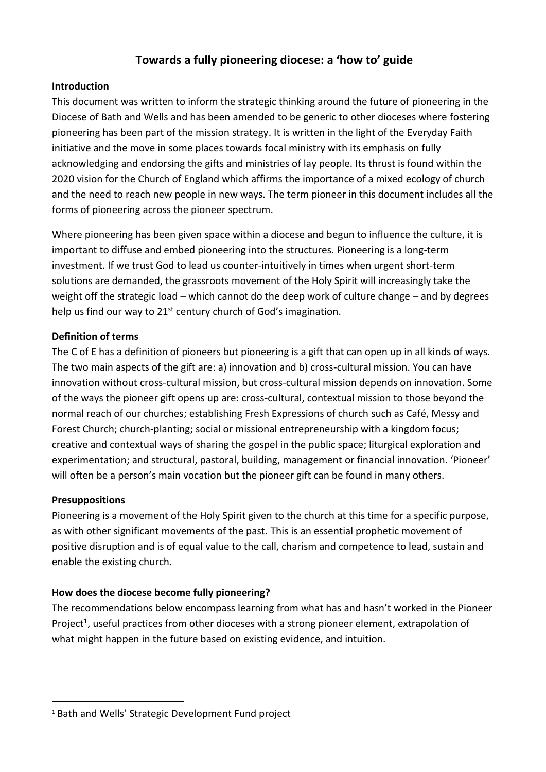# **Towards a fully pioneering diocese: a 'how to' guide**

#### **Introduction**

This document was written to inform the strategic thinking around the future of pioneering in the Diocese of Bath and Wells and has been amended to be generic to other dioceses where fostering pioneering has been part of the mission strategy. It is written in the light of the Everyday Faith initiative and the move in some places towards focal ministry with its emphasis on fully acknowledging and endorsing the gifts and ministries of lay people. Its thrust is found within the 2020 vision for the Church of England which affirms the importance of a mixed ecology of church and the need to reach new people in new ways. The term pioneer in this document includes all the forms of pioneering across the pioneer spectrum.

Where pioneering has been given space within a diocese and begun to influence the culture, it is important to diffuse and embed pioneering into the structures. Pioneering is a long-term investment. If we trust God to lead us counter-intuitively in times when urgent short-term solutions are demanded, the grassroots movement of the Holy Spirit will increasingly take the weight off the strategic load – which cannot do the deep work of culture change – and by degrees help us find our way to  $21^{st}$  century church of God's imagination.

### **Definition of terms**

The C of E has a definition of pioneers but pioneering is a gift that can open up in all kinds of ways. The two main aspects of the gift are: a) innovation and b) cross-cultural mission. You can have innovation without cross-cultural mission, but cross-cultural mission depends on innovation. Some of the ways the pioneer gift opens up are: cross-cultural, contextual mission to those beyond the normal reach of our churches; establishing Fresh Expressions of church such as Café, Messy and Forest Church; church-planting; social or missional entrepreneurship with a kingdom focus; creative and contextual ways of sharing the gospel in the public space; liturgical exploration and experimentation; and structural, pastoral, building, management or financial innovation. 'Pioneer' will often be a person's main vocation but the pioneer gift can be found in many others.

#### **Presuppositions**

1

Pioneering is a movement of the Holy Spirit given to the church at this time for a specific purpose, as with other significant movements of the past. This is an essential prophetic movement of positive disruption and is of equal value to the call, charism and competence to lead, sustain and enable the existing church.

### **How does the diocese become fully pioneering?**

The recommendations below encompass learning from what has and hasn't worked in the Pioneer Project<sup>1</sup>, useful practices from other dioceses with a strong pioneer element, extrapolation of what might happen in the future based on existing evidence, and intuition.

<sup>1</sup> Bath and Wells' Strategic Development Fund project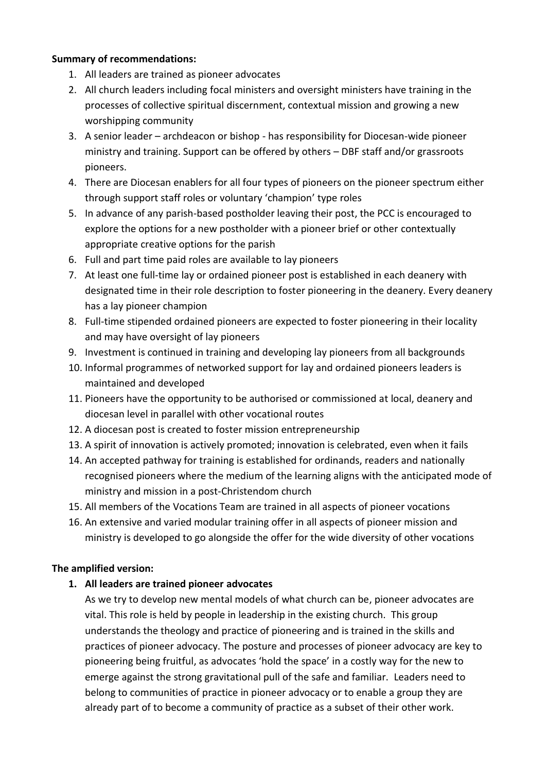#### **Summary of recommendations:**

- 1. All leaders are trained as pioneer advocates
- 2. All church leaders including focal ministers and oversight ministers have training in the processes of collective spiritual discernment, contextual mission and growing a new worshipping community
- 3. A senior leader archdeacon or bishop has responsibility for Diocesan-wide pioneer ministry and training. Support can be offered by others – DBF staff and/or grassroots pioneers.
- 4. There are Diocesan enablers for all four types of pioneers on the pioneer spectrum either through support staff roles or voluntary 'champion' type roles
- 5. In advance of any parish-based postholder leaving their post, the PCC is encouraged to explore the options for a new postholder with a pioneer brief or other contextually appropriate creative options for the parish
- 6. Full and part time paid roles are available to lay pioneers
- 7. At least one full-time lay or ordained pioneer post is established in each deanery with designated time in their role description to foster pioneering in the deanery. Every deanery has a lay pioneer champion
- 8. Full-time stipended ordained pioneers are expected to foster pioneering in their locality and may have oversight of lay pioneers
- 9. Investment is continued in training and developing lay pioneers from all backgrounds
- 10. Informal programmes of networked support for lay and ordained pioneers leaders is maintained and developed
- 11. Pioneers have the opportunity to be authorised or commissioned at local, deanery and diocesan level in parallel with other vocational routes
- 12. A diocesan post is created to foster mission entrepreneurship
- 13. A spirit of innovation is actively promoted; innovation is celebrated, even when it fails
- 14. An accepted pathway for training is established for ordinands, readers and nationally recognised pioneers where the medium of the learning aligns with the anticipated mode of ministry and mission in a post-Christendom church
- 15. All members of the Vocations Team are trained in all aspects of pioneer vocations
- 16. An extensive and varied modular training offer in all aspects of pioneer mission and ministry is developed to go alongside the offer for the wide diversity of other vocations

#### **The amplified version:**

#### **1. All leaders are trained pioneer advocates**

As we try to develop new mental models of what church can be, pioneer advocates are vital. This role is held by people in leadership in the existing church. This group understands the theology and practice of pioneering and is trained in the skills and practices of pioneer advocacy. The posture and processes of pioneer advocacy are key to pioneering being fruitful, as advocates 'hold the space' in a costly way for the new to emerge against the strong gravitational pull of the safe and familiar. Leaders need to belong to communities of practice in pioneer advocacy or to enable a group they are already part of to become a community of practice as a subset of their other work.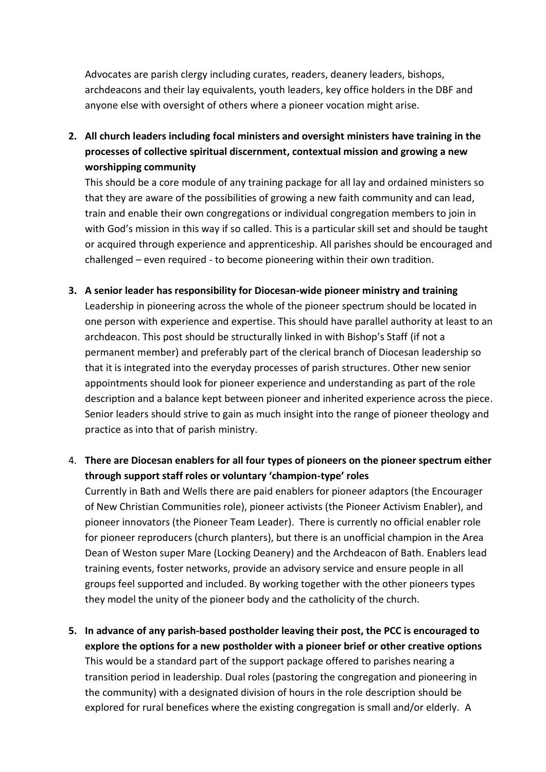Advocates are parish clergy including curates, readers, deanery leaders, bishops, archdeacons and their lay equivalents, youth leaders, key office holders in the DBF and anyone else with oversight of others where a pioneer vocation might arise.

**2. All church leaders including focal ministers and oversight ministers have training in the processes of collective spiritual discernment, contextual mission and growing a new worshipping community**

This should be a core module of any training package for all lay and ordained ministers so that they are aware of the possibilities of growing a new faith community and can lead, train and enable their own congregations or individual congregation members to join in with God's mission in this way if so called. This is a particular skill set and should be taught or acquired through experience and apprenticeship. All parishes should be encouraged and challenged – even required - to become pioneering within their own tradition.

**3. A senior leader has responsibility for Diocesan-wide pioneer ministry and training** Leadership in pioneering across the whole of the pioneer spectrum should be located in one person with experience and expertise. This should have parallel authority at least to an archdeacon. This post should be structurally linked in with Bishop's Staff (if not a permanent member) and preferably part of the clerical branch of Diocesan leadership so that it is integrated into the everyday processes of parish structures. Other new senior appointments should look for pioneer experience and understanding as part of the role description and a balance kept between pioneer and inherited experience across the piece. Senior leaders should strive to gain as much insight into the range of pioneer theology and practice as into that of parish ministry.

## 4. **There are Diocesan enablers for all four types of pioneers on the pioneer spectrum either through support staff roles or voluntary 'champion-type' roles**

Currently in Bath and Wells there are paid enablers for pioneer adaptors (the Encourager of New Christian Communities role), pioneer activists (the Pioneer Activism Enabler), and pioneer innovators (the Pioneer Team Leader). There is currently no official enabler role for pioneer reproducers (church planters), but there is an unofficial champion in the Area Dean of Weston super Mare (Locking Deanery) and the Archdeacon of Bath. Enablers lead training events, foster networks, provide an advisory service and ensure people in all groups feel supported and included. By working together with the other pioneers types they model the unity of the pioneer body and the catholicity of the church.

**5. In advance of any parish-based postholder leaving their post, the PCC is encouraged to explore the options for a new postholder with a pioneer brief or other creative options** This would be a standard part of the support package offered to parishes nearing a transition period in leadership. Dual roles (pastoring the congregation and pioneering in the community) with a designated division of hours in the role description should be explored for rural benefices where the existing congregation is small and/or elderly. A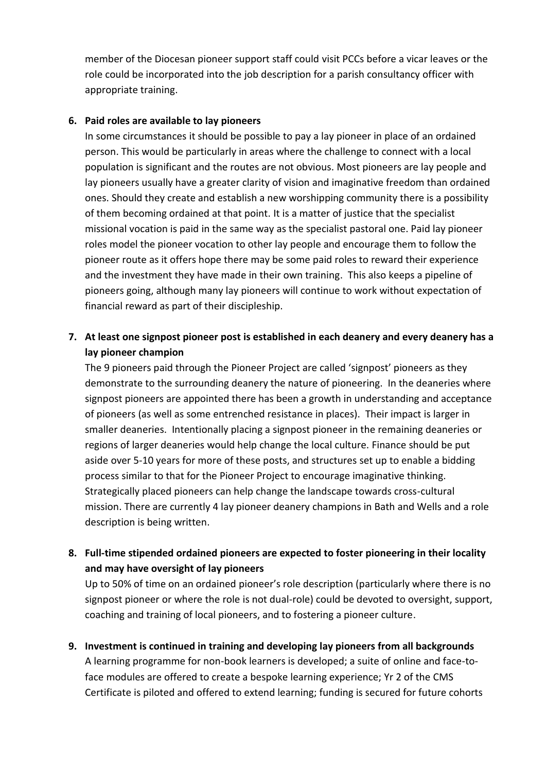member of the Diocesan pioneer support staff could visit PCCs before a vicar leaves or the role could be incorporated into the job description for a parish consultancy officer with appropriate training.

#### **6. Paid roles are available to lay pioneers**

In some circumstances it should be possible to pay a lay pioneer in place of an ordained person. This would be particularly in areas where the challenge to connect with a local population is significant and the routes are not obvious. Most pioneers are lay people and lay pioneers usually have a greater clarity of vision and imaginative freedom than ordained ones. Should they create and establish a new worshipping community there is a possibility of them becoming ordained at that point. It is a matter of justice that the specialist missional vocation is paid in the same way as the specialist pastoral one. Paid lay pioneer roles model the pioneer vocation to other lay people and encourage them to follow the pioneer route as it offers hope there may be some paid roles to reward their experience and the investment they have made in their own training. This also keeps a pipeline of pioneers going, although many lay pioneers will continue to work without expectation of financial reward as part of their discipleship.

## **7. At least one signpost pioneer post is established in each deanery and every deanery has a lay pioneer champion**

The 9 pioneers paid through the Pioneer Project are called 'signpost' pioneers as they demonstrate to the surrounding deanery the nature of pioneering. In the deaneries where signpost pioneers are appointed there has been a growth in understanding and acceptance of pioneers (as well as some entrenched resistance in places). Their impact is larger in smaller deaneries. Intentionally placing a signpost pioneer in the remaining deaneries or regions of larger deaneries would help change the local culture. Finance should be put aside over 5-10 years for more of these posts, and structures set up to enable a bidding process similar to that for the Pioneer Project to encourage imaginative thinking. Strategically placed pioneers can help change the landscape towards cross-cultural mission. There are currently 4 lay pioneer deanery champions in Bath and Wells and a role description is being written.

### **8. Full-time stipended ordained pioneers are expected to foster pioneering in their locality and may have oversight of lay pioneers**

Up to 50% of time on an ordained pioneer's role description (particularly where there is no signpost pioneer or where the role is not dual-role) could be devoted to oversight, support, coaching and training of local pioneers, and to fostering a pioneer culture.

**9. Investment is continued in training and developing lay pioneers from all backgrounds** A learning programme for non-book learners is developed; a suite of online and face-toface modules are offered to create a bespoke learning experience; Yr 2 of the CMS Certificate is piloted and offered to extend learning; funding is secured for future cohorts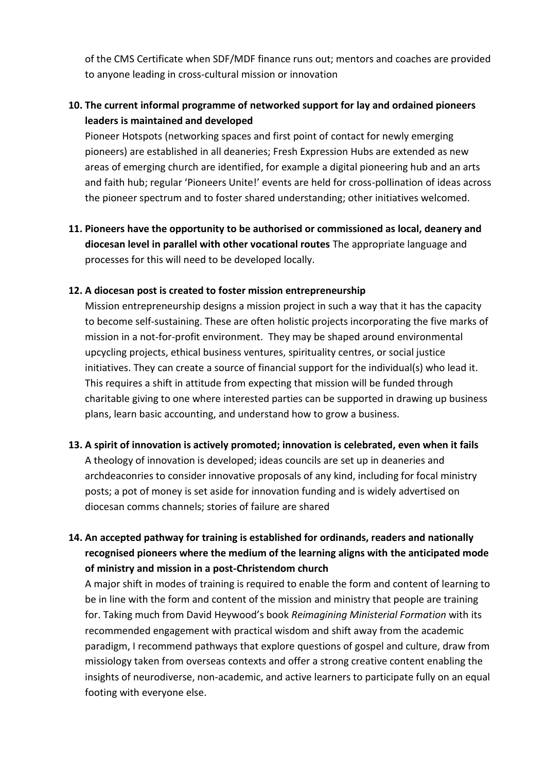of the CMS Certificate when SDF/MDF finance runs out; mentors and coaches are provided to anyone leading in cross-cultural mission or innovation

## **10. The current informal programme of networked support for lay and ordained pioneers leaders is maintained and developed**

Pioneer Hotspots (networking spaces and first point of contact for newly emerging pioneers) are established in all deaneries; Fresh Expression Hubs are extended as new areas of emerging church are identified, for example a digital pioneering hub and an arts and faith hub; regular 'Pioneers Unite!' events are held for cross-pollination of ideas across the pioneer spectrum and to foster shared understanding; other initiatives welcomed.

**11. Pioneers have the opportunity to be authorised or commissioned as local, deanery and diocesan level in parallel with other vocational routes** The appropriate language and processes for this will need to be developed locally.

#### **12. A diocesan post is created to foster mission entrepreneurship**

Mission entrepreneurship designs a mission project in such a way that it has the capacity to become self-sustaining. These are often holistic projects incorporating the five marks of mission in a not-for-profit environment. They may be shaped around environmental upcycling projects, ethical business ventures, spirituality centres, or social justice initiatives. They can create a source of financial support for the individual(s) who lead it. This requires a shift in attitude from expecting that mission will be funded through charitable giving to one where interested parties can be supported in drawing up business plans, learn basic accounting, and understand how to grow a business.

#### **13. A spirit of innovation is actively promoted; innovation is celebrated, even when it fails**

A theology of innovation is developed; ideas councils are set up in deaneries and archdeaconries to consider innovative proposals of any kind, including for focal ministry posts; a pot of money is set aside for innovation funding and is widely advertised on diocesan comms channels; stories of failure are shared

## **14. An accepted pathway for training is established for ordinands, readers and nationally recognised pioneers where the medium of the learning aligns with the anticipated mode of ministry and mission in a post-Christendom church**

A major shift in modes of training is required to enable the form and content of learning to be in line with the form and content of the mission and ministry that people are training for. Taking much from David Heywood's book *Reimagining Ministerial Formation* with its recommended engagement with practical wisdom and shift away from the academic paradigm, I recommend pathways that explore questions of gospel and culture, draw from missiology taken from overseas contexts and offer a strong creative content enabling the insights of neurodiverse, non-academic, and active learners to participate fully on an equal footing with everyone else.